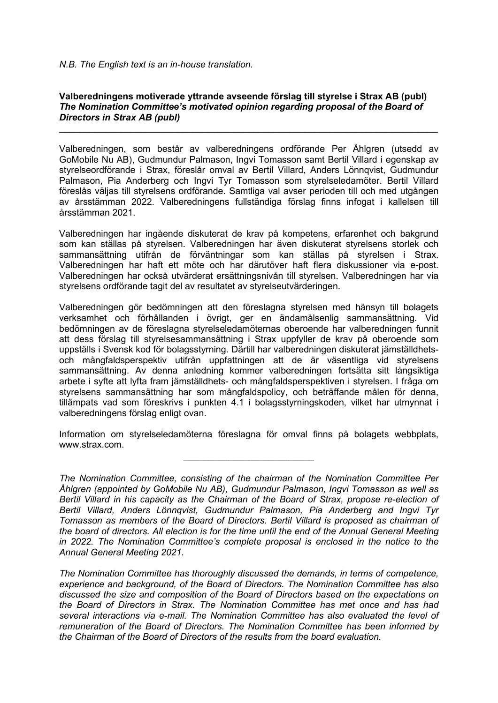## **Valberedningens motiverade yttrande avseende förslag till styrelse i Strax AB (publ)** *The Nomination Committee's motivated opinion regarding proposal of the Board of Directors in Strax AB (publ)*

 $\mathcal{L}_\text{max}$  and  $\mathcal{L}_\text{max}$  and  $\mathcal{L}_\text{max}$  and  $\mathcal{L}_\text{max}$  and  $\mathcal{L}_\text{max}$  and  $\mathcal{L}_\text{max}$ 

Valberedningen, som består av valberedningens ordförande Per Åhlgren (utsedd av GoMobile Nu AB), Gudmundur Palmason, Ingvi Tomasson samt Bertil Villard i egenskap av styrelseordförande i Strax, föreslår omval av Bertil Villard, Anders Lönnqvist, Gudmundur Palmason, Pia Anderberg och Ingvi Tyr Tomasson som styrelseledamöter. Bertil Villard föreslås väljas till styrelsens ordförande. Samtliga val avser perioden till och med utgången av årsstämman 2022. Valberedningens fullständiga förslag finns infogat i kallelsen till årsstämman 2021.

Valberedningen har ingående diskuterat de krav på kompetens, erfarenhet och bakgrund som kan ställas på styrelsen. Valberedningen har även diskuterat styrelsens storlek och sammansättning utifrån de förväntningar som kan ställas på styrelsen i Strax. Valberedningen har haft ett möte och har därutöver haft flera diskussioner via e-post. Valberedningen har också utvärderat ersättningsnivån till styrelsen. Valberedningen har via styrelsens ordförande tagit del av resultatet av styrelseutvärderingen.

Valberedningen gör bedömningen att den föreslagna styrelsen med hänsyn till bolagets verksamhet och förhållanden i övrigt, ger en ändamålsenlig sammansättning. Vid bedömningen av de föreslagna styrelseledamöternas oberoende har valberedningen funnit att dess förslag till styrelsesammansättning i Strax uppfyller de krav på oberoende som uppställs i Svensk kod för bolagsstyrning. Därtill har valberedningen diskuterat jämställdhetsoch mångfaldsperspektiv utifrån uppfattningen att de är väsentliga vid styrelsens sammansättning. Av denna anledning kommer valberedningen fortsätta sitt långsiktiga arbete i syfte att lyfta fram jämställdhets- och mångfaldsperspektiven i styrelsen. I fråga om styrelsens sammansättning har som mångfaldspolicy, och beträffande målen för denna, tillämpats vad som föreskrivs i punkten 4.1 i bolagsstyrningskoden, vilket har utmynnat i valberedningens förslag enligt ovan.

Information om styrelseledamöterna föreslagna för omval finns på bolagets webbplats, www.strax.com.

*The Nomination Committee has thoroughly discussed the demands, in terms of competence, experience and background, of the Board of Directors. The Nomination Committee has also discussed the size and composition of the Board of Directors based on the expectations on the Board of Directors in Strax. The Nomination Committee has met once and has had several interactions via e-mail. The Nomination Committee has also evaluated the level of remuneration of the Board of Directors. The Nomination Committee has been informed by the Chairman of the Board of Directors of the results from the board evaluation.* 

*The Nomination Committee, consisting of the chairman of the Nomination Committee Per Åhlgren (appointed by GoMobile Nu AB), Gudmundur Palmason, Ingvi Tomasson as well as Bertil Villard in his capacity as the Chairman of the Board of Strax, propose re-election of Bertil Villard, Anders Lönnqvist, Gudmundur Palmason, Pia Anderberg and Ingvi Tyr Tomasson as members of the Board of Directors. Bertil Villard is proposed as chairman of the board of directors. All election is for the time until the end of the Annual General Meeting in 2022. The Nomination Committee's complete proposal is enclosed in the notice to the Annual General Meeting 2021.*